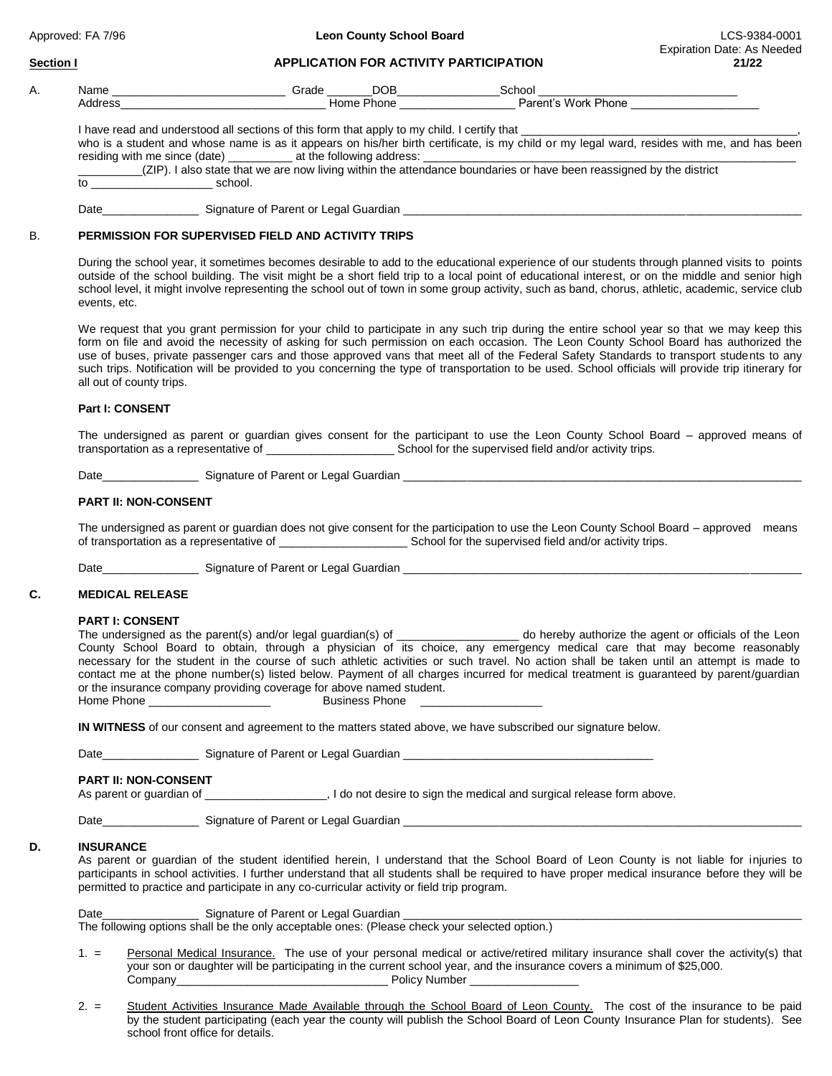Approved: FA 7/96 **Leon County School Board** LCS-9384-0001

#### **Section I APPLICATION FOR ACTIVITY PARTICIPATION 21/22**

| А. | Name                                                                                        | Grade      | School              |  |  |  |
|----|---------------------------------------------------------------------------------------------|------------|---------------------|--|--|--|
|    | Address                                                                                     | Home Phone | Parent's Work Phone |  |  |  |
|    | I have read and understood all sections of this form that apply to my child. I certify that |            |                     |  |  |  |

who is a student and whose name is as it appears on his/her birth certificate, is my child or my legal ward, resides with me, and has been residing with me since (date) \_\_\_\_\_\_\_\_\_\_ at the following address: \_\_\_\_\_\_\_\_\_\_\_\_\_\_\_\_\_\_\_\_\_\_\_\_\_\_\_\_\_\_\_\_\_\_\_\_\_\_\_\_\_\_\_\_\_\_\_\_\_\_\_\_\_\_\_\_\_\_ \_\_\_\_\_\_\_\_\_\_(ZIP). I also state that we are now living within the attendance boundaries or have been reassigned by the district to  $\sim$  school.

Date\_\_\_\_\_\_\_\_\_\_\_\_\_\_\_ Signature of Parent or Legal Guardian \_\_\_\_\_\_\_\_\_\_\_\_\_\_\_\_\_\_\_\_\_\_\_\_\_\_\_\_\_\_\_\_\_\_\_\_\_\_\_\_\_\_\_\_\_\_\_\_\_\_\_\_\_\_\_\_\_\_\_\_\_\_

# B. **PERMISSION FOR SUPERVISED FIELD AND ACTIVITY TRIPS**

During the school year, it sometimes becomes desirable to add to the educational experience of our students through planned visits to points outside of the school building. The visit might be a short field trip to a local point of educational interest, or on the middle and senior high school level, it might involve representing the school out of town in some group activity, such as band, chorus, athletic, academic, service club events, etc.

We request that you grant permission for your child to participate in any such trip during the entire school year so that we may keep this form on file and avoid the necessity of asking for such permission on each occasion. The Leon County School Board has authorized the use of buses, private passenger cars and those approved vans that meet all of the Federal Safety Standards to transport students to any such trips. Notification will be provided to you concerning the type of transportation to be used. School officials will provide trip itinerary for all out of county trips.

### **Part I: CONSENT**

The undersigned as parent or guardian gives consent for the participant to use the Leon County School Board – approved means of transportation as a representative of \_\_\_\_\_\_\_\_\_\_\_\_\_\_\_\_\_\_\_\_ School for the supervised field and/or activity trips.

Date **Date** Signature of Parent or Legal Guardian

# **PART II: NON-CONSENT**

The undersigned as parent or guardian does not give consent for the participation to use the Leon County School Board – approved means of transportation as a representative of  $\Box$  School for the supervised field and/or activity trips.

Date\_\_\_\_\_\_\_\_\_\_\_\_\_\_\_\_\_\_\_\_\_\_\_\_ Signature of Parent or Legal Guardian \_\_\_\_\_

### **C. MEDICAL RELEASE**

#### **PART I: CONSENT**

The undersigned as the parent(s) and/or legal guardian(s) of \_\_\_\_\_\_\_\_\_\_\_\_\_\_\_\_\_\_\_ do hereby authorize the agent or officials of the Leon County School Board to obtain, through a physician of its choice, any emergency medical care that may become reasonably necessary for the student in the course of such athletic activities or such travel. No action shall be taken until an attempt is made to contact me at the phone number(s) listed below. Payment of all charges incurred for medical treatment is guaranteed by parent/guardian or the insurance company providing coverage for above named student. Home Phone \_\_\_\_\_\_\_\_\_\_\_\_\_\_\_\_\_\_\_ Business Phone \_\_\_\_\_\_\_\_\_\_\_\_\_\_\_\_\_\_\_

**IN WITNESS** of our consent and agreement to the matters stated above, we have subscribed our signature below.

Date\_\_\_\_\_\_\_\_\_\_\_\_\_\_\_\_\_\_\_\_\_\_\_\_ Signature of Parent or Legal Guardian \_\_

### **PART II: NON-CONSENT**

As parent or guardian of \_\_\_\_\_\_\_\_\_\_\_\_\_\_\_\_\_\_\_\_\_, I do not desire to sign the medical and surgical release form above.

Date **Date Date** Signature of Parent or Legal Guardian

### **D. INSURANCE**

As parent or guardian of the student identified herein, I understand that the School Board of Leon County is not liable for injuries to participants in school activities. I further understand that all students shall be required to have proper medical insurance before they will be permitted to practice and participate in any co-curricular activity or field trip program.

Date\_\_\_\_\_\_\_\_\_\_\_\_\_\_\_ Signature of Parent or Legal Guardian \_\_\_\_\_\_\_\_\_\_\_\_\_\_\_\_\_\_\_\_\_\_\_\_\_\_\_\_\_\_\_\_\_\_\_\_\_\_\_\_\_\_\_\_\_\_\_\_\_\_\_\_\_\_\_\_\_\_\_\_\_\_ The following options shall be the only acceptable ones: (Please check your selected option.)

- 1. = Personal Medical Insurance. The use of your personal medical or active/retired military insurance shall cover the activity(s) that your son or daughter will be participating in the current school year, and the insurance covers a minimum of \$25,000. Company\_\_\_\_\_\_\_\_\_\_\_\_\_\_\_\_\_\_\_\_\_\_\_\_\_\_\_\_\_\_\_\_\_ Policy Number \_\_\_\_\_\_\_\_\_\_\_\_\_\_\_\_\_
- 2. = Student Activities Insurance Made Available through the School Board of Leon County. The cost of the insurance to be paid by the student participating (each year the county will publish the School Board of Leon County Insurance Plan for students). See school front office for details.